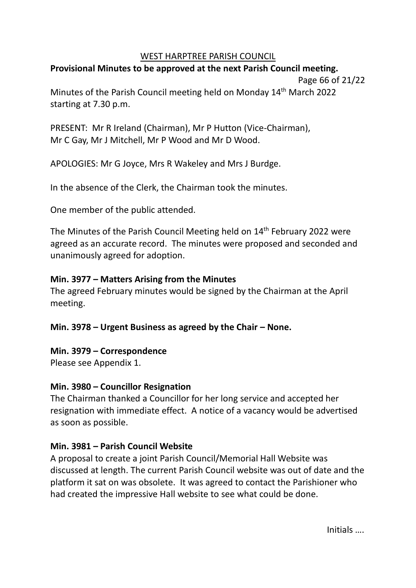## WEST HARPTREE PARISH COUNCIL

# **Provisional Minutes to be approved at the next Parish Council meeting.**

Page 66 of 21/22

Minutes of the Parish Council meeting held on Monday 14<sup>th</sup> March 2022 starting at 7.30 p.m.

PRESENT: Mr R Ireland (Chairman), Mr P Hutton (Vice-Chairman), Mr C Gay, Mr J Mitchell, Mr P Wood and Mr D Wood.

APOLOGIES: Mr G Joyce, Mrs R Wakeley and Mrs J Burdge.

In the absence of the Clerk, the Chairman took the minutes.

One member of the public attended.

The Minutes of the Parish Council Meeting held on 14<sup>th</sup> February 2022 were agreed as an accurate record. The minutes were proposed and seconded and unanimously agreed for adoption.

# **Min. 3977 – Matters Arising from the Minutes**

The agreed February minutes would be signed by the Chairman at the April meeting.

# **Min. 3978 – Urgent Business as agreed by the Chair – None.**

# **Min. 3979 – Correspondence**

Please see Appendix 1.

## **Min. 3980 – Councillor Resignation**

The Chairman thanked a Councillor for her long service and accepted her resignation with immediate effect. A notice of a vacancy would be advertised as soon as possible.

# **Min. 3981 – Parish Council Website**

A proposal to create a joint Parish Council/Memorial Hall Website was discussed at length. The current Parish Council website was out of date and the platform it sat on was obsolete. It was agreed to contact the Parishioner who had created the impressive Hall website to see what could be done.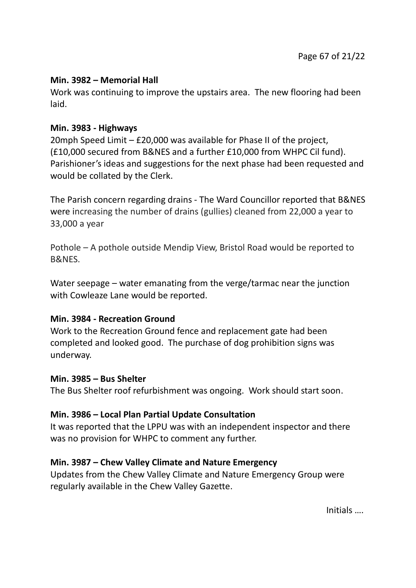## **Min. 3982 – Memorial Hall**

Work was continuing to improve the upstairs area. The new flooring had been laid.

## **Min. 3983 - Highways**

20mph Speed Limit – £20,000 was available for Phase II of the project, (£10,000 secured from B&NES and a further £10,000 from WHPC Cil fund). Parishioner's ideas and suggestions for the next phase had been requested and would be collated by the Clerk.

The Parish concern regarding drains - The Ward Councillor reported that B&NES were increasing the number of drains (gullies) cleaned from 22,000 a year to 33,000 a year

Pothole – A pothole outside Mendip View, Bristol Road would be reported to B&NES.

Water seepage – water emanating from the verge/tarmac near the junction with Cowleaze Lane would be reported.

## **Min. 3984 - Recreation Ground**

Work to the Recreation Ground fence and replacement gate had been completed and looked good. The purchase of dog prohibition signs was underway.

### **Min. 3985 – Bus Shelter**

The Bus Shelter roof refurbishment was ongoing. Work should start soon.

## **Min. 3986 – Local Plan Partial Update Consultation**

It was reported that the LPPU was with an independent inspector and there was no provision for WHPC to comment any further.

## **Min. 3987 – Chew Valley Climate and Nature Emergency**

Updates from the Chew Valley Climate and Nature Emergency Group were regularly available in the Chew Valley Gazette.

Initials ….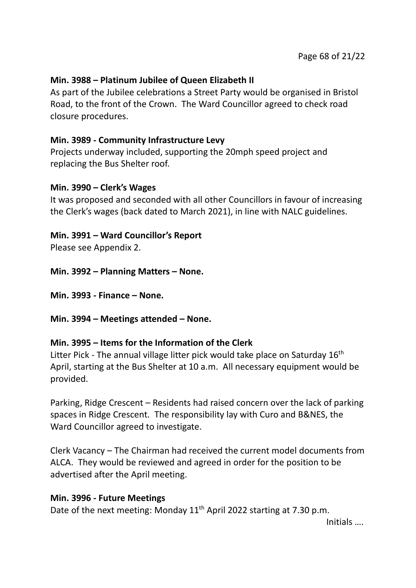## **Min. 3988 – Platinum Jubilee of Queen Elizabeth II**

As part of the Jubilee celebrations a Street Party would be organised in Bristol Road, to the front of the Crown. The Ward Councillor agreed to check road closure procedures.

## **Min. 3989 - Community Infrastructure Levy**

Projects underway included, supporting the 20mph speed project and replacing the Bus Shelter roof.

### **Min. 3990 – Clerk's Wages**

It was proposed and seconded with all other Councillors in favour of increasing the Clerk's wages (back dated to March 2021), in line with NALC guidelines.

## **Min. 3991 – Ward Councillor's Report**

Please see Appendix 2.

**Min. 3992 – Planning Matters – None.**

**Min. 3993 - Finance – None.**

**Min. 3994 – Meetings attended – None.**

## **Min. 3995 – Items for the Information of the Clerk**

Litter Pick - The annual village litter pick would take place on Saturday 16<sup>th</sup> April, starting at the Bus Shelter at 10 a.m. All necessary equipment would be provided.

Parking, Ridge Crescent – Residents had raised concern over the lack of parking spaces in Ridge Crescent. The responsibility lay with Curo and B&NES, the Ward Councillor agreed to investigate.

Clerk Vacancy – The Chairman had received the current model documents from ALCA. They would be reviewed and agreed in order for the position to be advertised after the April meeting.

### **Min. 3996 - Future Meetings**

Date of the next meeting: Monday 11<sup>th</sup> April 2022 starting at 7.30 p.m.

Initials ….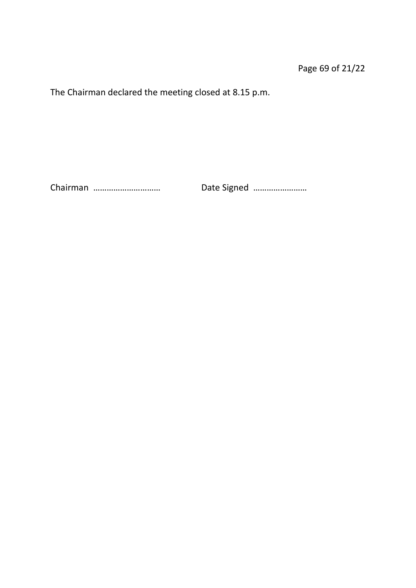The Chairman declared the meeting closed at 8.15 p.m.

Chairman ………………………… Date Signed ……………………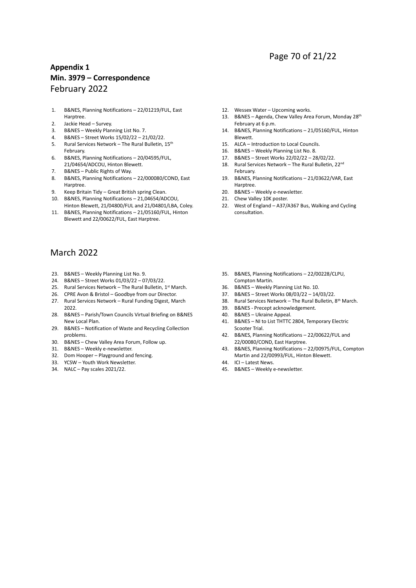## Page 70 of 21/22

### **Appendix 1 Min. 3979 – Correspondence** February 2022

- 1. B&NES, Planning Notifications 22/01219/FUL, East Harptree.
- 2. Jackie Head Survey.
- 3. B&NES Weekly Planning List No. 7.
- 4. B&NES Street Works 15/02/22 21/02/22.
- 5. Rural Services Network The Rural Bulletin, 15<sup>th</sup> February.
- 6. B&NES, Planning Notifications 20/04595/FUL, 21/04654/ADCOU, Hinton Blewett.
- 7. B&NES Public Rights of Way.
- 8. B&NES, Planning Notifications 22/000080/COND, East Harptree.
- 9. Keep Britain Tidy Great British spring Clean.
- 10. B&NES, Planning Notifications 21,04654/ADCOU, Hinton Blewett, 21/04800/FUL and 21/04801/LBA, Coley.
- 11. B&NES, Planning Notifications 21/05160/FUL, Hinton Blewett and 22/00622/FUL, East Harptree.

### March 2022

- 23. B&NES Weekly Planning List No. 9.
- 24. B&NES Street Works 01/03/22 07/03/22.
- 25. Rural Services Network The Rural Bulletin,  $1^{st}$  March.
- 26. CPRE Avon & Bristol Goodbye from our Director.
- 27. Rural Services Network Rural Funding Digest, March 2022.
- 28. B&NES Parish/Town Councils Virtual Briefing on B&NES New Local Plan.
- 29. B&NES Notification of Waste and Recycling Collection problems.
- 30. B&NES Chew Valley Area Forum, Follow up.
- 31. B&NES Weekly e-newsletter.
- 32. Dom Hooper Playground and fencing.
- 33. YCSW Youth Work Newsletter.
- 34. NALC Pay scales 2021/22.
- 12. Wessex Water Upcoming works.
- 13. B&NES Agenda, Chew Valley Area Forum, Monday 28<sup>th</sup> February at 6 p.m.
- 14. B&NES, Planning Notifications 21/05160/FUL, Hinton Blewett.
- 15. ALCA Introduction to Local Councils.
- 16. B&NES Weekly Planning List No. 8.
- 17. B&NES Street Works 22/02/22 28/02/22.
- 18. Rural Services Network The Rural Bulletin, 22<sup>nd</sup> February.
- 19. B&NES, Planning Notifications 21/03622/VAR, East Harptree.
- 20. B&NES Weekly e-newsletter.
- 21. Chew Valley 10K poster.
- 22. West of England A37/A367 Bus, Walking and Cycling consultation.
- 35. B&NES, Planning Notifications 22/00228/CLPU, Compton Martin.
- 36. B&NES Weekly Planning List No. 10.
- 37. B&NES Street Works 08/03/22 14/03/22.
- 38. Rural Services Network The Rural Bulletin, 8<sup>th</sup> March.
- 39. B&NES Precept acknowledgement.
- 40. B&NES Ukraine Appeal.
- 41. B&NES NI to List THTTC 2804, Temporary Electric Scooter Trial.
- 42. B&NES, Planning Notifications 22/00622/FUL and 22/00080/COND, East Harptree.
- 43. B&NES, Planning Notifications 22/00975/FUL, Compton Martin and 22/00993/FUL, Hinton Blewett.
- 44. ICI Latest News.
- 45. B&NES Weekly e-newsletter.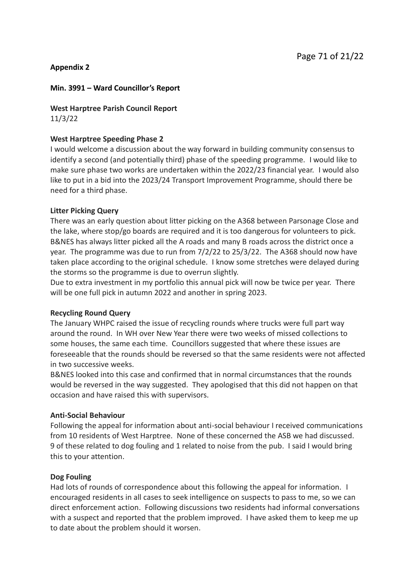### **Appendix 2**

### **Min. 3991 – Ward Councillor's Report**

**West Harptree Parish Council Report** 11/3/22

### **West Harptree Speeding Phase 2**

I would welcome a discussion about the way forward in building community consensus to identify a second (and potentially third) phase of the speeding programme. I would like to make sure phase two works are undertaken within the 2022/23 financial year. I would also like to put in a bid into the 2023/24 Transport Improvement Programme, should there be need for a third phase.

### **Litter Picking Query**

There was an early question about litter picking on the A368 between Parsonage Close and the lake, where stop/go boards are required and it is too dangerous for volunteers to pick. B&NES has always litter picked all the A roads and many B roads across the district once a year. The programme was due to run from 7/2/22 to 25/3/22. The A368 should now have taken place according to the original schedule. I know some stretches were delayed during the storms so the programme is due to overrun slightly.

Due to extra investment in my portfolio this annual pick will now be twice per year. There will be one full pick in autumn 2022 and another in spring 2023.

### **Recycling Round Query**

The January WHPC raised the issue of recycling rounds where trucks were full part way around the round. In WH over New Year there were two weeks of missed collections to some houses, the same each time. Councillors suggested that where these issues are foreseeable that the rounds should be reversed so that the same residents were not affected in two successive weeks.

B&NES looked into this case and confirmed that in normal circumstances that the rounds would be reversed in the way suggested. They apologised that this did not happen on that occasion and have raised this with supervisors.

### **Anti-Social Behaviour**

Following the appeal for information about anti-social behaviour I received communications from 10 residents of West Harptree. None of these concerned the ASB we had discussed. 9 of these related to dog fouling and 1 related to noise from the pub. I said I would bring this to your attention.

### **Dog Fouling**

Had lots of rounds of correspondence about this following the appeal for information. I encouraged residents in all cases to seek intelligence on suspects to pass to me, so we can direct enforcement action. Following discussions two residents had informal conversations with a suspect and reported that the problem improved. I have asked them to keep me up to date about the problem should it worsen.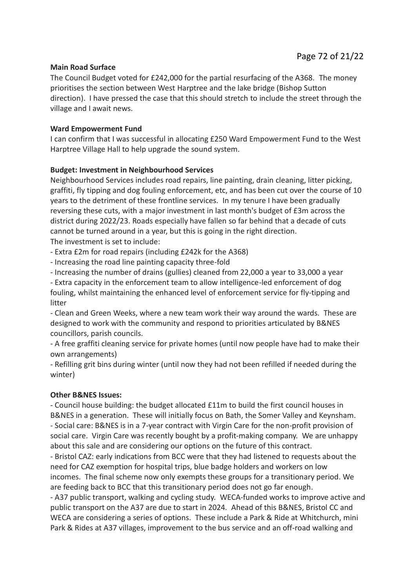#### **Main Road Surface**

The Council Budget voted for £242,000 for the partial resurfacing of the A368. The money prioritises the section between West Harptree and the lake bridge (Bishop Sutton direction). I have pressed the case that this should stretch to include the street through the village and I await news.

#### **Ward Empowerment Fund**

I can confirm that I was successful in allocating £250 Ward Empowerment Fund to the West Harptree Village Hall to help upgrade the sound system.

#### **Budget: Investment in Neighbourhood Services**

Neighbourhood Services includes road repairs, line painting, drain cleaning, litter picking, graffiti, fly tipping and dog fouling enforcement, etc, and has been cut over the course of 10 years to the detriment of these frontline services. In my tenure I have been gradually reversing these cuts, with a major investment in last month's budget of £3m across the district during 2022/23. Roads especially have fallen so far behind that a decade of cuts cannot be turned around in a year, but this is going in the right direction. The investment is set to include:

- Extra £2m for road repairs (including £242k for the A368)

- Increasing the road line painting capacity three-fold

- Increasing the number of drains (gullies) cleaned from 22,000 a year to 33,000 a year

- Extra capacity in the enforcement team to allow intelligence-led enforcement of dog fouling, whilst maintaining the enhanced level of enforcement service for fly-tipping and litter

- Clean and Green Weeks, where a new team work their way around the wards. These are designed to work with the community and respond to priorities articulated by B&NES councillors, parish councils.

- A free graffiti cleaning service for private homes (until now people have had to make their own arrangements)

- Refilling grit bins during winter (until now they had not been refilled if needed during the winter)

#### **Other B&NES Issues:**

- Council house building: the budget allocated £11m to build the first council houses in B&NES in a generation. These will initially focus on Bath, the Somer Valley and Keynsham. - Social care: B&NES is in a 7-year contract with Virgin Care for the non-profit provision of social care. Virgin Care was recently bought by a profit-making company. We are unhappy about this sale and are considering our options on the future of this contract.

- Bristol CAZ: early indications from BCC were that they had listened to requests about the need for CAZ exemption for hospital trips, blue badge holders and workers on low incomes. The final scheme now only exempts these groups for a transitionary period. We are feeding back to BCC that this transitionary period does not go far enough.

- A37 public transport, walking and cycling study. WECA-funded works to improve active and public transport on the A37 are due to start in 2024. Ahead of this B&NES, Bristol CC and WECA are considering a series of options. These include a Park & Ride at Whitchurch, mini Park & Rides at A37 villages, improvement to the bus service and an off-road walking and